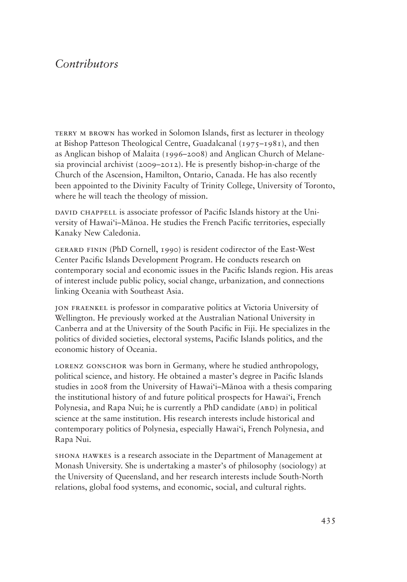## *Contributors*

TERRY M BROWN has worked in Solomon Islands, first as lecturer in theology at Bishop Patteson Theological Centre, Guadalcanal (1975–1981), and then as Anglican bishop of Malaita (1996–2008) and Anglican Church of Melanesia provincial archivist (2009–2012). He is presently bishop-in-charge of the Church of the Ascension, Hamilton, Ontario, Canada. He has also recently been appointed to the Divinity Faculty of Trinity College, University of Toronto, where he will teach the theology of mission.

DAVID CHAPPELL is associate professor of Pacific Islands history at the University of Hawai'i–Mānoa. He studies the French Pacific territories, especially Kanaky New Caledonia.

gerard finin (PhD Cornell, 1990) is resident codirector of the East-West Center Pacific Islands Development Program. He conducts research on contemporary social and economic issues in the Pacific Islands region. His areas of interest include public policy, social change, urbanization, and connections linking Oceania with Southeast Asia.

jon fraenkel is professor in comparative politics at Victoria University of Wellington. He previously worked at the Australian National University in Canberra and at the University of the South Pacific in Fiji. He specializes in the politics of divided societies, electoral systems, Pacific Islands politics, and the economic history of Oceania.

LORENZ GONSCHOR was born in Germany, where he studied anthropology, political science, and history. He obtained a master's degree in Pacific Islands studies in 2008 from the University of Hawai'i–Mānoa with a thesis comparing the institutional history of and future political prospects for Hawai'i, French Polynesia, and Rapa Nui; he is currently a PhD candidate (ABD) in political science at the same institution. His research interests include historical and contemporary politics of Polynesia, especially Hawai'i, French Polynesia, and Rapa Nui.

shona hawkes is a research associate in the Department of Management at Monash University. She is undertaking a master's of philosophy (sociology) at the University of Queensland, and her research interests include South-North relations, global food systems, and economic, social, and cultural rights.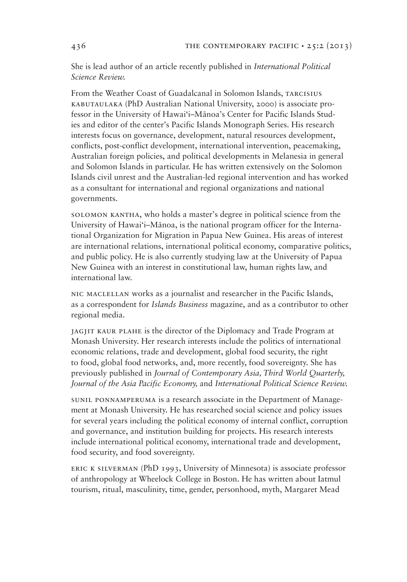She is lead author of an article recently published in *International Political Science Review.*

From the Weather Coast of Guadalcanal in Solomon Islands, TARCISIUS kabutaulaka (PhD Australian National University, 2000) is associate professor in the University of Hawai'i–Mānoa's Center for Pacific Islands Studies and editor of the center's Pacific Islands Monograph Series. His research interests focus on governance, development, natural resources development, conflicts, post-conflict development, international intervention, peacemaking, Australian foreign policies, and political developments in Melanesia in general and Solomon Islands in particular. He has written extensively on the Solomon Islands civil unrest and the Australian-led regional intervention and has worked as a consultant for international and regional organizations and national governments.

solomon kantha, who holds a master's degree in political science from the University of Hawai'i-Mānoa, is the national program officer for the International Organization for Migration in Papua New Guinea. His areas of interest are international relations, international political economy, comparative politics, and public policy. He is also currently studying law at the University of Papua New Guinea with an interest in constitutional law, human rights law, and international law.

nic maclellan works as a journalist and researcher in the Pacific Islands, as a correspondent for *Islands Business* magazine, and as a contributor to other regional media.

jagjit kaur plahe is the director of the Diplomacy and Trade Program at Monash University. Her research interests include the politics of international economic relations, trade and development, global food security, the right to food, global food networks, and, more recently, food sovereignty. She has previously published in *Journal of Contemporary Asia*, Third World Quarterly, *Journal of the Asia Pacific Economy, and International Political Science Review.* 

sunil ponnamperuma is a research associate in the Department of Management at Monash University. He has researched social science and policy issues for several years including the political economy of internal conflict, corruption and governance, and institution building for projects. His research interests include international political economy, international trade and development, food security, and food sovereignty.

eric k silverman (PhD 1993, University of Minnesota) is associate professor of anthropology at Wheelock College in Boston. He has written about Iatmul tourism, ritual, masculinity, time, gender, personhood, myth, Margaret Mead